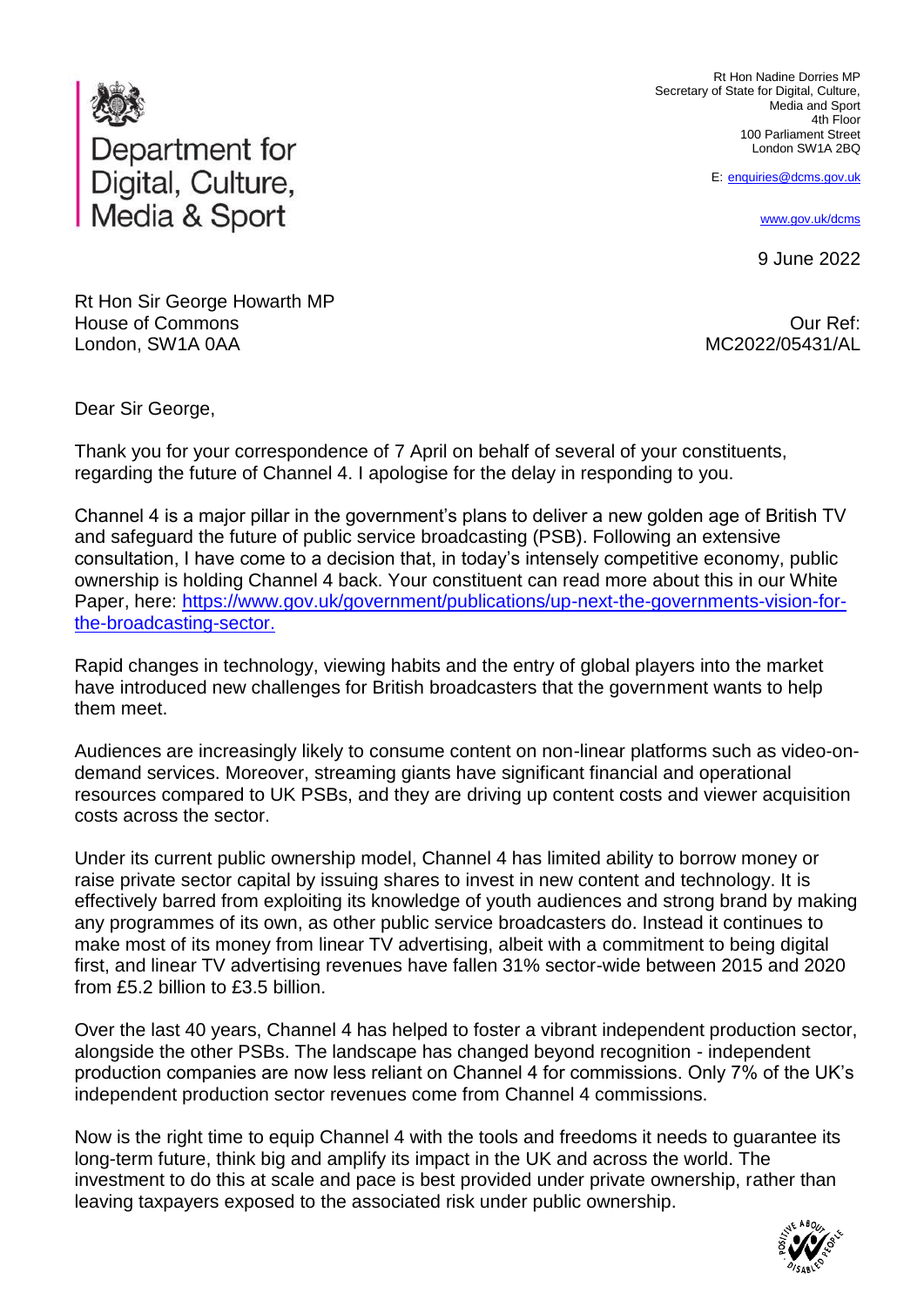

Rt Hon Nadine Dorries MP Secretary of State for Digital, Culture, Media and Sport 4th Floor 100 Parliament Street London SW1A 2BQ

E: [enquiries@dcms.gov.uk](mailto:enquiries@dcms.gov.uk)

[www.gov.uk/dcms](http://www.gov.uk/dcms)

9 June 2022

Rt Hon Sir George Howarth MP House of Commons London, SW1A 0AA

Our Ref: MC2022/05431/AL

Dear Sir George,

Thank you for your correspondence of 7 April on behalf of several of your constituents, regarding the future of Channel 4. I apologise for the delay in responding to you.

Channel 4 is a major pillar in the government's plans to deliver a new golden age of British TV and safeguard the future of public service broadcasting (PSB). Following an extensive consultation, I have come to a decision that, in today's intensely competitive economy, public ownership is holding Channel 4 back. Your constituent can read more about this in our White Paper, here: [https://www.gov.uk/government/publications/up-next-the-governments-vision-for](https://www.gov.uk/government/publications/up-next-the-governments-vision-for-the-broadcasting-sector)[the-broadcasting-sector.](https://www.gov.uk/government/publications/up-next-the-governments-vision-for-the-broadcasting-sector)

Rapid changes in technology, viewing habits and the entry of global players into the market have introduced new challenges for British broadcasters that the government wants to help them meet.

Audiences are increasingly likely to consume content on non-linear platforms such as video-ondemand services. Moreover, streaming giants have significant financial and operational resources compared to UK PSBs, and they are driving up content costs and viewer acquisition costs across the sector.

Under its current public ownership model, Channel 4 has limited ability to borrow money or raise private sector capital by issuing shares to invest in new content and technology. It is effectively barred from exploiting its knowledge of youth audiences and strong brand by making any programmes of its own, as other public service broadcasters do. Instead it continues to make most of its money from linear TV advertising, albeit with a commitment to being digital first, and linear TV advertising revenues have fallen 31% sector-wide between 2015 and 2020 from £5.2 billion to £3.5 billion.

Over the last 40 years, Channel 4 has helped to foster a vibrant independent production sector, alongside the other PSBs. The landscape has changed beyond recognition - independent production companies are now less reliant on Channel 4 for commissions. Only 7% of the UK's independent production sector revenues come from Channel 4 commissions.

Now is the right time to equip Channel 4 with the tools and freedoms it needs to guarantee its long-term future, think big and amplify its impact in the UK and across the world. The investment to do this at scale and pace is best provided under private ownership, rather than leaving taxpayers exposed to the associated risk under public ownership.